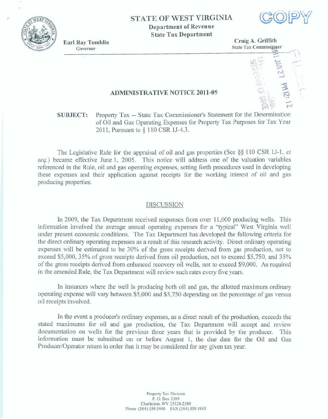

*r* 

## **STATE OF WEST VIRGINIA**

**Department of Revenue State Tax Department** 



#### **ADMINISTRATXVE NOTICE 201 1-09**

### **SUBJECT:** Property Tax -- State Tax Commissioner's Statement for the Determination **of Oil** md Gas Operating **Expenses** for **Property** Tax Purposes for **Tax Year 201 1, Pummt to** § **1 10** CSR **1J43.**

**The Legislative** Rule for **the appraisal** of **oil** and gas **properties (See** *\$5* 1 10 **CSR 13-1,** *el*  **seq.) became effective June 1,** 2005. **This notice will address** one **of the** valuation **variables**  referenced **in** the Rule, oiI and gas **operating expenses, setting** forth **procedures** used **in developing these** expenses **and their application against receipts for the working** interest **of** oil and **gas producing** properties.

#### **DISCUSSION**

In 2009, the Tax Department received responses from over  $11,000$  producing wells. This **information involved the average annual operating expenses for a "typical" West Virginia well under present** economic **conditions,** The **Tax Department** has **developed the following criteria for**  the direct ordimy **operating expenses as** *a* **rermIt** of **this research** activity. Direct **ordhary operating expenses** will be estimated **to be 30% ~f** the **gross receipts derived** hrn **gas production, not to exceed \$5,000, 35% of** gross **receipts derived** from **oil** production, not **to exceed \$5,750,** and **35% of** the **gross receipts derived from enhanced** recovery **oil web, not to exceed \$9,000.** *As* **required**  in the amended Rule, the Tax Department will review such rates every five years.

**In** instances **where** the **well is** producing both oil and **gas, the** allotted maximum **ordinary operating expense** will vary between **\$5,000** and **\$5,750 depending** on the **percentage** of **gas** versus oil **receipts** involved.

In the event a producer's ordinary expenses, as a direct result of the production, exceeds the **stated** maximums **for oil** and **gas** production, the **Tax** Department will **accept and review documencation on wells for the** previous three years that is **provided by the** producer. **This**  information must be submitted on or before August 1, the due date for the Oil and Gas Producer/Operator return in order that it may be considered for any given tax year.